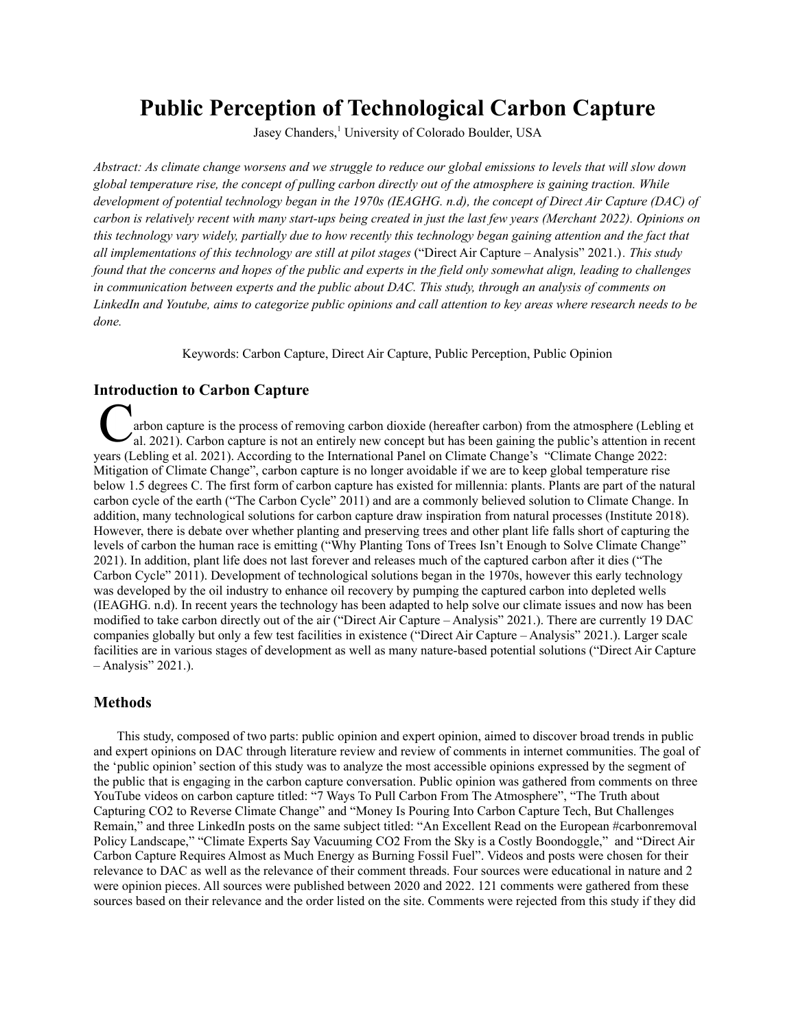# **Public Perception of Technological Carbon Capture**

Jasey Chanders, <sup>1</sup> University of Colorado Boulder, USA

Abstract: As climate change worsens and we struggle to reduce our global emissions to levels that will slow down global temperature rise, the concept of pulling carbon directly out of the atmosphere is gaining traction. While development of potential technology began in the 1970s (IEAGHG. n.d), the concept of Direct Air Capture (DAC) of carbon is relatively recent with many start-ups being created in just the last few years (Merchant 2022). Opinions on this technology vary widely, partially due to how recently this technology began gaining attention and the fact that *all implementations of this technology are still at pilot stages* ("Direct Air Capture – Analysis" 2021.)*. This study* found that the concerns and hopes of the public and experts in the field only somewhat align, leading to challenges *in communication between experts and the public about DAC. This study, through an analysis of comments on* LinkedIn and Youtube, aims to categorize public opinions and call attention to key areas where research needs to be *done.*

Keywords: Carbon Capture, Direct Air Capture, Public Perception, Public Opinion

# **Introduction to Carbon Capture**

arbon capture is the process of removing carbon dioxide (hereafter carbon) from the atmosphere (Lebling et al. 2021). Carbon capture is not an entirely new concept but has been gaining the public's attention in recent years (Lebling et al. 2021). According to the International Panel on Climate Change's "Climate Change 2022: Mitigation of Climate Change", carbon capture is no longer avoidable if we are to keep global temperature rise below 1.5 degrees C. The first form of carbon capture has existed for millennia: plants. Plants are part of the natural carbon cycle of the earth ("The Carbon Cycle" 2011) and are a commonly believed solution to Climate Change. In addition, many technological solutions for carbon capture draw inspiration from natural processes (Institute 2018). However, there is debate over whether planting and preserving trees and other plant life falls short of capturing the levels of carbon the human race is emitting ("Why Planting Tons of Trees Isn't Enough to Solve Climate Change" 2021). In addition, plant life does not last forever and releases much of the captured carbon after it dies ("The Carbon Cycle" 2011). Development of technological solutions began in the 1970s, however this early technology was developed by the oil industry to enhance oil recovery by pumping the captured carbon into depleted wells (IEAGHG. n.d). In recent years the technology has been adapted to help solve our climate issues and now has been modified to take carbon directly out of the air ("Direct Air Capture – Analysis" 2021.). There are currently 19 DAC companies globally but only a few test facilities in existence ("Direct Air Capture – Analysis" 2021.). Larger scale facilities are in various stages of development as well as many nature-based potential solutions ("Direct Air Capture – Analysis" 2021.).

# **Methods**

This study, composed of two parts: public opinion and expert opinion, aimed to discover broad trends in public and expert opinions on DAC through literature review and review of comments in internet communities. The goal of the 'public opinion'section of this study was to analyze the most accessible opinions expressed by the segment of the public that is engaging in the carbon capture conversation. Public opinion was gathered from comments on three YouTube videos on carbon capture titled: "7 Ways To Pull Carbon From The Atmosphere", "The Truth about Capturing CO2 to Reverse Climate Change" and "Money Is Pouring Into Carbon Capture Tech, But Challenges Remain," and three LinkedIn posts on the same subject titled: "An Excellent Read on the European #carbonremoval Policy Landscape," "Climate Experts Say Vacuuming CO2 From the Sky is a Costly Boondoggle," and "Direct Air Carbon Capture Requires Almost as Much Energy as Burning Fossil Fuel". Videos and posts were chosen for their relevance to DAC as well as the relevance of their comment threads. Four sources were educational in nature and 2 were opinion pieces. All sources were published between 2020 and 2022. 121 comments were gathered from these sources based on their relevance and the order listed on the site. Comments were rejected from this study if they did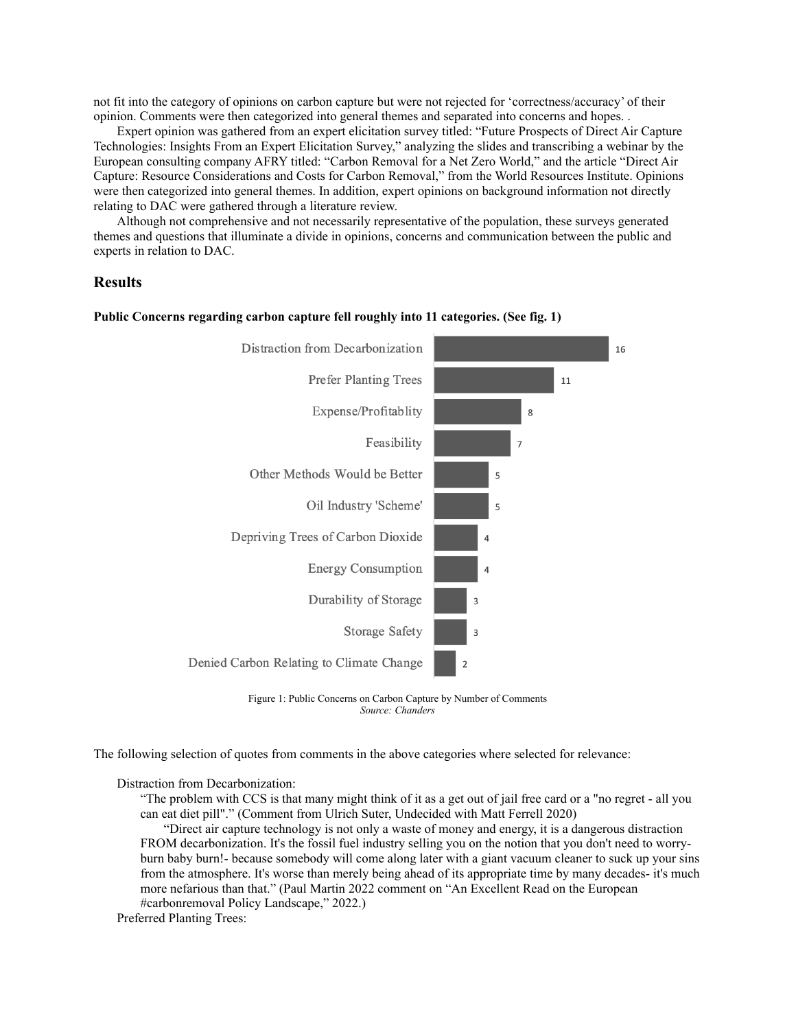not fit into the category of opinions on carbon capture but were not rejected for 'correctness/accuracy' of their opinion. Comments were then categorized into general themes and separated into concerns and hopes. .

Expert opinion was gathered from an expert elicitation survey titled: "Future Prospects of Direct Air Capture Technologies: Insights From an Expert Elicitation Survey," analyzing the slides and transcribing a webinar by the European consulting company AFRY titled: "Carbon Removal for a Net Zero World," and the article "Direct Air Capture: Resource Considerations and Costs for Carbon Removal," from the World Resources Institute. Opinions were then categorized into general themes. In addition, expert opinions on background information not directly relating to DAC were gathered through a literature review.

Although not comprehensive and not necessarily representative of the population, these surveys generated themes and questions that illuminate a divide in opinions, concerns and communication between the public and experts in relation to DAC.

# **Results**



#### **Public Concerns regarding carbon capture fell roughly into 11 categories. (See fig. 1)**

Figure 1: Public Concerns on Carbon Capture by Number of Comments *Source: Chanders*

The following selection of quotes from comments in the above categories where selected for relevance:

Distraction from Decarbonization:

"The problem with CCS is that many might think of it as a get out of jail free card or a "no regret - all you can eat diet pill"." (Comment from Ulrich Suter, Undecided with Matt Ferrell 2020)

"Direct air capture technology is not only a waste of money and energy, it is a dangerous distraction FROM decarbonization. It's the fossil fuel industry selling you on the notion that you don't need to worryburn baby burn!- because somebody will come along later with a giant vacuum cleaner to suck up your sins from the atmosphere. It's worse than merely being ahead of its appropriate time by many decades- it's much more nefarious than that." (Paul Martin 2022 comment on "An Excellent Read on the European #carbonremoval Policy Landscape," 2022.)

Preferred Planting Trees: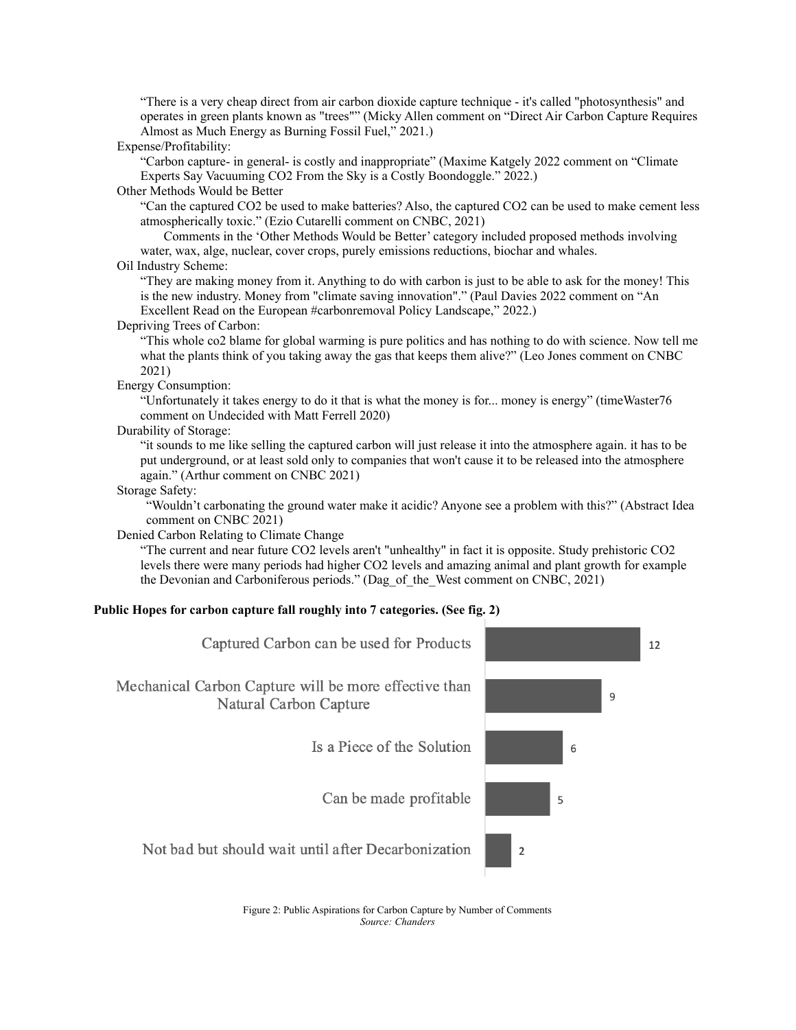"There is a very cheap direct from air carbon dioxide capture technique - it's called "photosynthesis" and operates in green plants known as "trees"" (Micky Allen comment on "Direct Air Carbon Capture Requires Almost as Much Energy as Burning Fossil Fuel," 2021.)

#### Expense/Profitability:

"Carbon capture- in general- is costly and inappropriate" (Maxime Katgely 2022 comment on "Climate Experts Say Vacuuming CO2 From the Sky is a Costly Boondoggle." 2022.)

#### Other Methods Would be Better

"Can the captured CO2 be used to make batteries? Also, the captured CO2 can be used to make cement less atmospherically toxic." (Ezio Cutarelli comment on CNBC, 2021)

Comments in the 'Other Methods Would be Better' category included proposed methods involving water, wax, alge, nuclear, cover crops, purely emissions reductions, biochar and whales.

# Oil Industry Scheme:

"They are making money from it. Anything to do with carbon is just to be able to ask for the money! This is the new industry. Money from "climate saving innovation"." (Paul Davies 2022 comment on "An Excellent Read on the European #carbonremoval Policy Landscape," 2022.)

#### Depriving Trees of Carbon:

"This whole co2 blame for global warming is pure politics and has nothing to do with science. Now tell me what the plants think of you taking away the gas that keeps them alive?" (Leo Jones comment on CNBC 2021)

## Energy Consumption:

"Unfortunately it takes energy to do it that is what the money is for... money is energy" (timeWaster76 comment on Undecided with Matt Ferrell 2020)

## Durability of Storage:

"it sounds to me like selling the captured carbon will just release it into the atmosphere again. it has to be put underground, or at least sold only to companies that won't cause it to be released into the atmosphere again." (Arthur comment on CNBC 2021)

#### Storage Safety:

"Wouldn't carbonating the ground water make it acidic? Anyone see a problem with this?" (Abstract Idea comment on CNBC 2021)

Denied Carbon Relating to Climate Change

"The current and near future CO2 levels aren't "unhealthy" in fact it is opposite. Study prehistoric CO2 levels there were many periods had higher CO2 levels and amazing animal and plant growth for example the Devonian and Carboniferous periods." (Dag\_of\_the\_West comment on CNBC, 2021)

## **Public Hopes for carbon capture fall roughly into 7 categories. (See fig. 2)**



Figure 2: Public Aspirations for Carbon Capture by Number of Comments *Source: Chanders*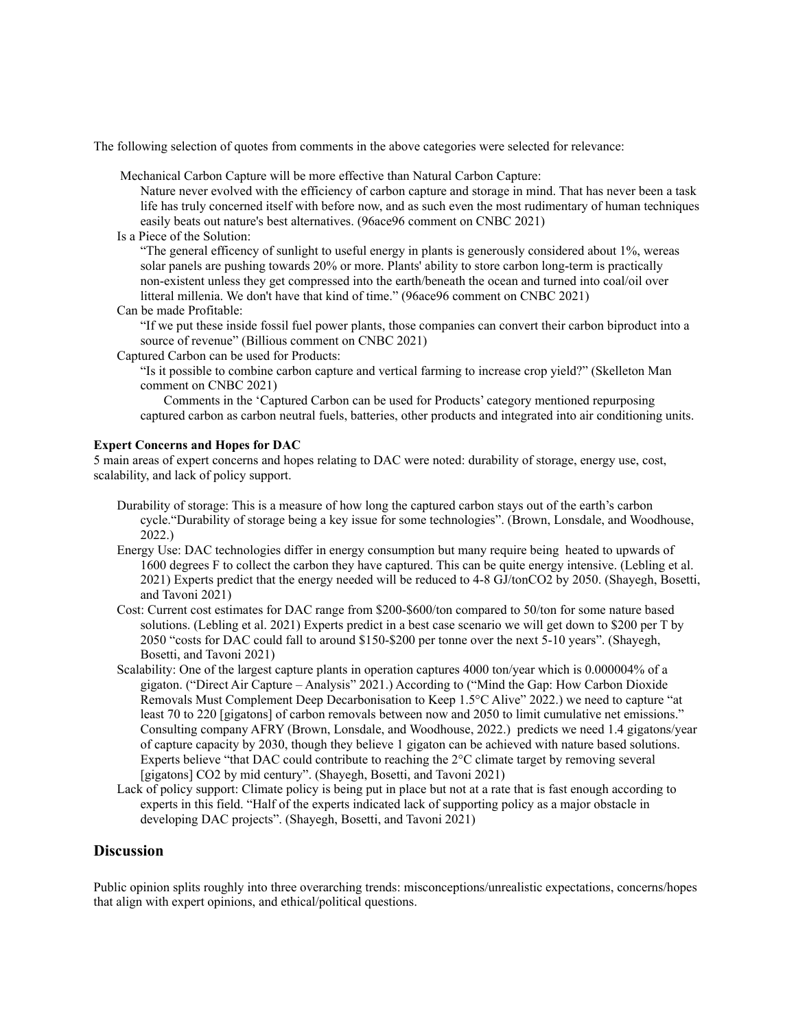The following selection of quotes from comments in the above categories were selected for relevance:

Mechanical Carbon Capture will be more effective than Natural Carbon Capture:

Nature never evolved with the efficiency of carbon capture and storage in mind. That has never been a task life has truly concerned itself with before now, and as such even the most rudimentary of human techniques easily beats out nature's best alternatives. (96ace96 comment on CNBC 2021)

Is a Piece of the Solution:

"The general efficency of sunlight to useful energy in plants is generously considered about 1%, wereas solar panels are pushing towards 20% or more. Plants' ability to store carbon long-term is practically non-existent unless they get compressed into the earth/beneath the ocean and turned into coal/oil over litteral millenia. We don't have that kind of time." (96ace96 comment on CNBC 2021)

Can be made Profitable:

"If we put these inside fossil fuel power plants, those companies can convert their carbon biproduct into a source of revenue" (Billious comment on CNBC 2021)

Captured Carbon can be used for Products:

"Is it possible to combine carbon capture and vertical farming to increase crop yield?" (Skelleton Man comment on CNBC 2021)

Comments in the 'Captured Carbon can be used for Products' category mentioned repurposing captured carbon as carbon neutral fuels, batteries, other products and integrated into air conditioning units.

#### **Expert Concerns and Hopes for DAC**

5 main areas of expert concerns and hopes relating to DAC were noted: durability of storage, energy use, cost, scalability, and lack of policy support.

- Durability of storage: This is a measure of how long the captured carbon stays out of the earth's carbon cycle."Durability of storage being a key issue for some technologies". (Brown, Lonsdale, and Woodhouse, 2022.)
- Energy Use: DAC technologies differ in energy consumption but many require being heated to upwards of 1600 degrees F to collect the carbon they have captured. This can be quite energy intensive. (Lebling et al. 2021) Experts predict that the energy needed will be reduced to 4-8 GJ/tonCO2 by 2050. (Shayegh, Bosetti, and Tavoni 2021)
- Cost: Current cost estimates for DAC range from \$200-\$600/ton compared to 50/ton for some nature based solutions. (Lebling et al. 2021) Experts predict in a best case scenario we will get down to \$200 per T by 2050 "costs for DAC could fall to around \$150-\$200 per tonne over the next 5-10 years". (Shayegh, Bosetti, and Tavoni 2021)
- Scalability: One of the largest capture plants in operation captures 4000 ton/year which is 0.000004% of a gigaton. ("Direct Air Capture – Analysis" 2021.) According to ("Mind the Gap: How Carbon Dioxide Removals Must Complement Deep Decarbonisation to Keep 1.5°C Alive" 2022.) we need to capture "at least 70 to 220 [gigatons] of carbon removals between now and 2050 to limit cumulative net emissions." Consulting company AFRY (Brown, Lonsdale, and Woodhouse, 2022.) predicts we need 1.4 gigatons/year of capture capacity by 2030, though they believe 1 gigaton can be achieved with nature based solutions. Experts believe "that DAC could contribute to reaching the 2°C climate target by removing several [gigatons] CO2 by mid century". (Shayegh, Bosetti, and Tavoni 2021)
- Lack of policy support: Climate policy is being put in place but not at a rate that is fast enough according to experts in this field. "Half of the experts indicated lack of supporting policy as a major obstacle in developing DAC projects". (Shayegh, Bosetti, and Tavoni 2021)

# **Discussion**

Public opinion splits roughly into three overarching trends: misconceptions/unrealistic expectations, concerns/hopes that align with expert opinions, and ethical/political questions.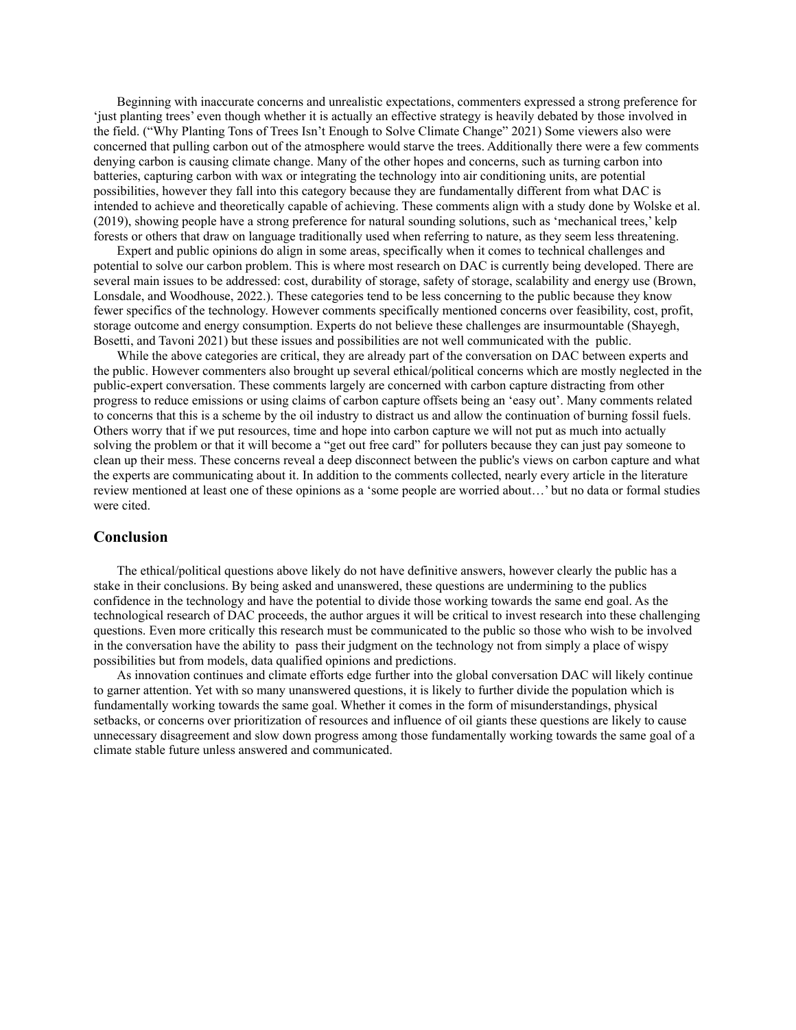Beginning with inaccurate concerns and unrealistic expectations, commenters expressed a strong preference for 'just planting trees' even though whether it is actually an effective strategy is heavily debated by those involved in the field. ("Why Planting Tons of Trees Isn't Enough to Solve Climate Change" 2021) Some viewers also were concerned that pulling carbon out of the atmosphere would starve the trees. Additionally there were a few comments denying carbon is causing climate change. Many of the other hopes and concerns, such as turning carbon into batteries, capturing carbon with wax or integrating the technology into air conditioning units, are potential possibilities, however they fall into this category because they are fundamentally different from what DAC is intended to achieve and theoretically capable of achieving. These comments align with a study done by Wolske et al. (2019), showing people have a strong preference for natural sounding solutions, such as 'mechanical trees,' kelp forests or others that draw on language traditionally used when referring to nature, as they seem less threatening.

Expert and public opinions do align in some areas, specifically when it comes to technical challenges and potential to solve our carbon problem. This is where most research on DAC is currently being developed. There are several main issues to be addressed: cost, durability of storage, safety of storage, scalability and energy use (Brown, Lonsdale, and Woodhouse, 2022.). These categories tend to be less concerning to the public because they know fewer specifics of the technology. However comments specifically mentioned concerns over feasibility, cost, profit, storage outcome and energy consumption. Experts do not believe these challenges are insurmountable (Shayegh, Bosetti, and Tavoni 2021) but these issues and possibilities are not well communicated with the public.

While the above categories are critical, they are already part of the conversation on DAC between experts and the public. However commenters also brought up several ethical/political concerns which are mostly neglected in the public-expert conversation. These comments largely are concerned with carbon capture distracting from other progress to reduce emissions or using claims of carbon capture offsets being an 'easy out'. Many comments related to concerns that this is a scheme by the oil industry to distract us and allow the continuation of burning fossil fuels. Others worry that if we put resources, time and hope into carbon capture we will not put as much into actually solving the problem or that it will become a "get out free card" for polluters because they can just pay someone to clean up their mess. These concerns reveal a deep disconnect between the public's views on carbon capture and what the experts are communicating about it. In addition to the comments collected, nearly every article in the literature review mentioned at least one of these opinions as a 'some people are worried about…' but no data or formal studies were cited.

# **Conclusion**

The ethical/political questions above likely do not have definitive answers, however clearly the public has a stake in their conclusions. By being asked and unanswered, these questions are undermining to the publics confidence in the technology and have the potential to divide those working towards the same end goal. As the technological research of DAC proceeds, the author argues it will be critical to invest research into these challenging questions. Even more critically this research must be communicated to the public so those who wish to be involved in the conversation have the ability to pass their judgment on the technology not from simply a place of wispy possibilities but from models, data qualified opinions and predictions.

As innovation continues and climate efforts edge further into the global conversation DAC will likely continue to garner attention. Yet with so many unanswered questions, it is likely to further divide the population which is fundamentally working towards the same goal. Whether it comes in the form of misunderstandings, physical setbacks, or concerns over prioritization of resources and influence of oil giants these questions are likely to cause unnecessary disagreement and slow down progress among those fundamentally working towards the same goal of a climate stable future unless answered and communicated.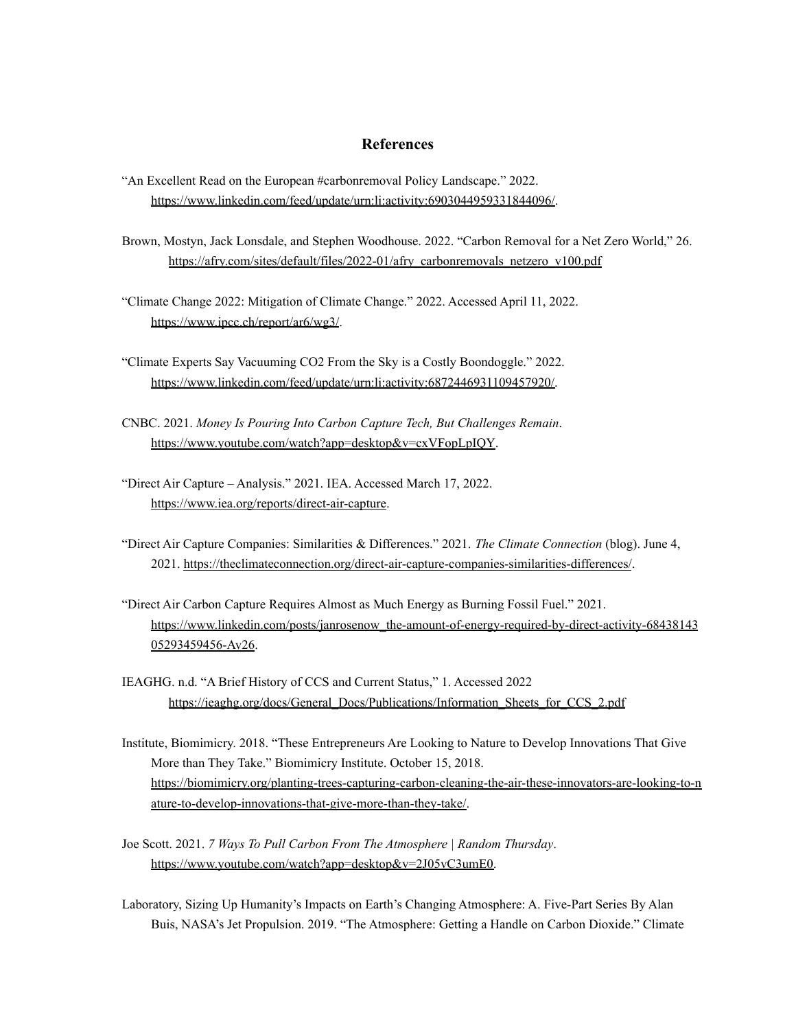# **References**

- "An Excellent Read on the European #carbonremoval Policy Landscape." 2022[.](https://www.linkedin.com/feed/update/urn:li:activity:6903044959331844096/) <https://www.linkedin.com/feed/update/urn:li:activity:6903044959331844096/>.
- Brown, Mostyn, Jack Lonsdale, and Stephen Woodhouse. 2022. "Carbon Removal for a Net Zero World," 26. [https://afry.com/sites/default/files/2022-01/afry\\_carbonremovals\\_netzero\\_v100.pdf](https://afry.com/sites/default/files/2022-01/afry_carbonremovals_netzero_v100.pdf)
- "Climate Change 2022: Mitigation of Climate Change." 2022. Accessed April 11, 2022. <https://www.ipcc.ch/report/ar6/wg3/>.
- "Climate Experts Say Vacuuming CO2 From the Sky is a Costly Boondoggle." 2022. [https://www.linkedin.com/feed/update/urn:li:activity:6872446931109457920/.](https://www.linkedin.com/feed/update/urn:li:activity:6872446931109457920/)
- CNBC. 2021. *Money Is Pouring Into Carbon Capture Tech, But Challenges Remain*. <https://www.youtube.com/watch?app=desktop&v=cxVFopLpIQY>.
- "Direct Air Capture Analysis." 2021. IEA. Accessed March 17, 2022. <https://www.iea.org/reports/direct-air-capture>.
- "Direct Air Capture Companies: Similarities & Differences." 2021. *The Climate Connection* (blog). June 4, 2021. <https://theclimateconnection.org/direct-air-capture-companies-similarities-differences/>.
- "Direct Air Carbon Capture Requires Almost as Much Energy as Burning Fossil Fuel." 2021. [https://www.linkedin.com/posts/janrosenow\\_the-amount-of-energy-required-by-direct-activity-68438143](https://www.linkedin.com/posts/janrosenow_the-amount-of-energy-required-by-direct-activity-6843814305293459456-Av26) [05293459456-Av26](https://www.linkedin.com/posts/janrosenow_the-amount-of-energy-required-by-direct-activity-6843814305293459456-Av26).
- IEAGHG. n.d. "A Brief History of CCS and Current Status," 1. Accessed 2022 [https://ieaghg.org/docs/General\\_Docs/Publications/Information\\_Sheets\\_for\\_CCS\\_2.pdf](https://ieaghg.org/docs/General_Docs/Publications/Information_Sheets_for_CCS_2.pdf)
- Institute, Biomimicry. 2018. "These Entrepreneurs Are Looking to Nature to Develop Innovations That Give More than They Take." Biomimicry Institute. October 15, 2018. [https://biomimicry.org/planting-trees-capturing-carbon-cleaning-the-air-these-innovators-are-looking-to-n](https://biomimicry.org/planting-trees-capturing-carbon-cleaning-the-air-these-innovators-are-looking-to-nature-to-develop-innovations-that-give-more-than-they-take/) [ature-to-develop-innovations-that-give-more-than-they-take/.](https://biomimicry.org/planting-trees-capturing-carbon-cleaning-the-air-these-innovators-are-looking-to-nature-to-develop-innovations-that-give-more-than-they-take/)
- Joe Scott. 2021. *7 Ways To Pull Carbon From The Atmosphere | Random Thursday*[.](https://www.youtube.com/watch?app=desktop&v=2J05vC3umE0) [https://www.youtube.com/watch?app=desktop&v=2J05vC3umE0.](https://www.youtube.com/watch?app=desktop&v=2J05vC3umE0)
- Laboratory, Sizing Up Humanity's Impacts on Earth's Changing Atmosphere: A. Five-Part Series By Alan Buis, NASA's Jet Propulsion. 2019. "The Atmosphere: Getting a Handle on Carbon Dioxide." Climate